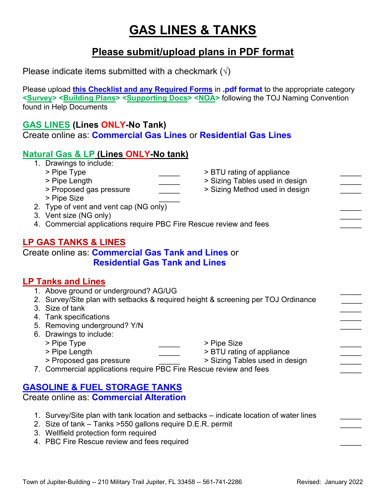# **GAS LINES & TANKS**

## **Please submit/upload plans in PDF format**

Please indicate items submitted with a checkmark  $(\sqrt{})$ 

Please upload **this Checklist and any Required Forms** in **.pdf format** to the appropriate category **<Survey> <Building Plans> <Supporting Docs> <NOA>** following the TOJ Naming Convention found in Help Documents

#### **GAS LINES (Lines ONLY-No Tank)**

Create online as: **Commercial Gas Lines** or **Residential Gas Lines**

#### **Natural Gas & LP (Lines ONLY-No tank)**

- 1. Drawings to include:
	-
	- > Pipe Type \_\_\_\_\_\_\_\_\_\_\_\_\_\_\_\_\_\_\_\_\_\_\_\_\_\_\_ > BTU rating of appliance<br>> Pipe Length \_\_\_\_\_\_\_\_\_\_\_\_\_\_\_\_\_ > Sizing Tables used in de
	- > Proposed gas pressure  $\overline{\qquad}$  > Sizing Method used in design
	- > Pipe Size \_\_\_\_\_
- 2. Type of vent and vent cap (NG only)
- 3. Vent size (NG only)
- 4. Commercial applications require PBC Fire Rescue review and fees

### **LP GAS TANKS & LINES**

Create online as: **Commercial Gas Tank and Lines** or **Residential Gas Tank and Lines**

#### **LP Tanks and Lines**

- 1. Above ground or underground? AG/UG
- 2. Survey/Site plan with setbacks & required height & screening per TOJ Ordinance
- 3. Size of tank \_\_\_\_\_
- 4. Tank specifications
- 5. Removing underground? Y/N
- 6. Drawings to include:
	- > Pipe Type \_\_\_\_\_\_\_\_\_\_\_\_\_\_\_\_\_\_\_\_\_\_\_\_\_\_\_\_\_ > Pipe Size
	-
- 
- > Pipe Length \_\_\_\_\_\_\_\_\_\_\_\_\_\_\_\_\_\_\_ > BTU rating of appliance \_\_\_\_\_\_\_\_\_\_\_\_\_\_\_\_\_\_\_\_

> Sizing Tables used in design

- > Proposed gas pressure  $\qquad \qquad$  > Sizing Tables used in design  $\qquad \qquad$
- 7. Commercial applications require PBC Fire Rescue review and fees

#### **GASOLINE & FUEL STORAGE TANKS**

Create online as: **Commercial Alteration**

- 1. Survey/Site plan with tank location and setbacks indicate location of water lines
- 2. Size of tank Tanks > 50 gallons require D.E.R. permit
- 3. Wellfield protection form required
- 4. PBC Fire Rescue review and fees required